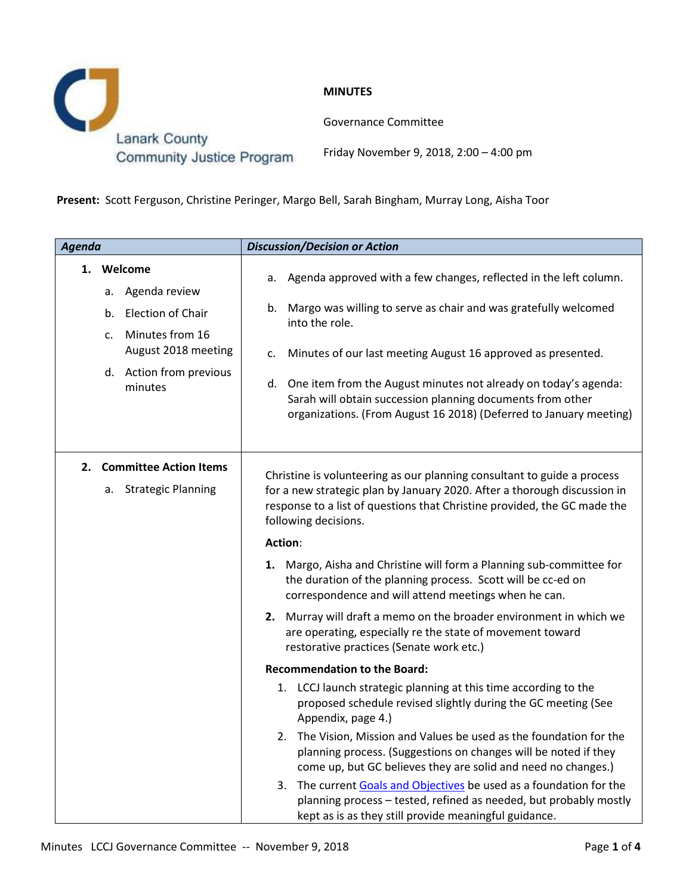

**MINUTES**

Governance Committee

Community Justice Program

Friday November 9, 2018, 2:00 – 4:00 pm

**Present:** Scott Ferguson, Christine Peringer, Margo Bell, Sarah Bingham, Murray Long, Aisha Toor

| Agenda |                                                                                                                                                                    | <b>Discussion/Decision or Action</b>                                                                                                                                                                                                                                                                                                                                                                                                            |
|--------|--------------------------------------------------------------------------------------------------------------------------------------------------------------------|-------------------------------------------------------------------------------------------------------------------------------------------------------------------------------------------------------------------------------------------------------------------------------------------------------------------------------------------------------------------------------------------------------------------------------------------------|
|        | 1. Welcome<br>Agenda review<br>а.<br><b>Election of Chair</b><br>b.<br>Minutes from 16<br>$C_{\star}$<br>August 2018 meeting<br>d. Action from previous<br>minutes | a. Agenda approved with a few changes, reflected in the left column.<br>Margo was willing to serve as chair and was gratefully welcomed<br>b.<br>into the role.<br>Minutes of our last meeting August 16 approved as presented.<br>c.<br>d. One item from the August minutes not already on today's agenda:<br>Sarah will obtain succession planning documents from other<br>organizations. (From August 16 2018) (Deferred to January meeting) |
| 2.     | <b>Committee Action Items</b><br><b>Strategic Planning</b><br>а.                                                                                                   | Christine is volunteering as our planning consultant to guide a process<br>for a new strategic plan by January 2020. After a thorough discussion in<br>response to a list of questions that Christine provided, the GC made the<br>following decisions.<br><b>Action:</b><br>1. Margo, Aisha and Christine will form a Planning sub-committee for<br>the duration of the planning process. Scott will be cc-ed on                               |
|        |                                                                                                                                                                    | correspondence and will attend meetings when he can.<br>2. Murray will draft a memo on the broader environment in which we<br>are operating, especially re the state of movement toward<br>restorative practices (Senate work etc.)<br><b>Recommendation to the Board:</b><br>1. LCCJ launch strategic planning at this time according to the<br>proposed schedule revised slightly during the GC meeting (See<br>Appendix, page 4.)            |
|        |                                                                                                                                                                    | 2. The Vision, Mission and Values be used as the foundation for the<br>planning process. (Suggestions on changes will be noted if they<br>come up, but GC believes they are solid and need no changes.)<br>The current Goals and Objectives be used as a foundation for the<br>3.<br>planning process - tested, refined as needed, but probably mostly<br>kept as is as they still provide meaningful guidance.                                 |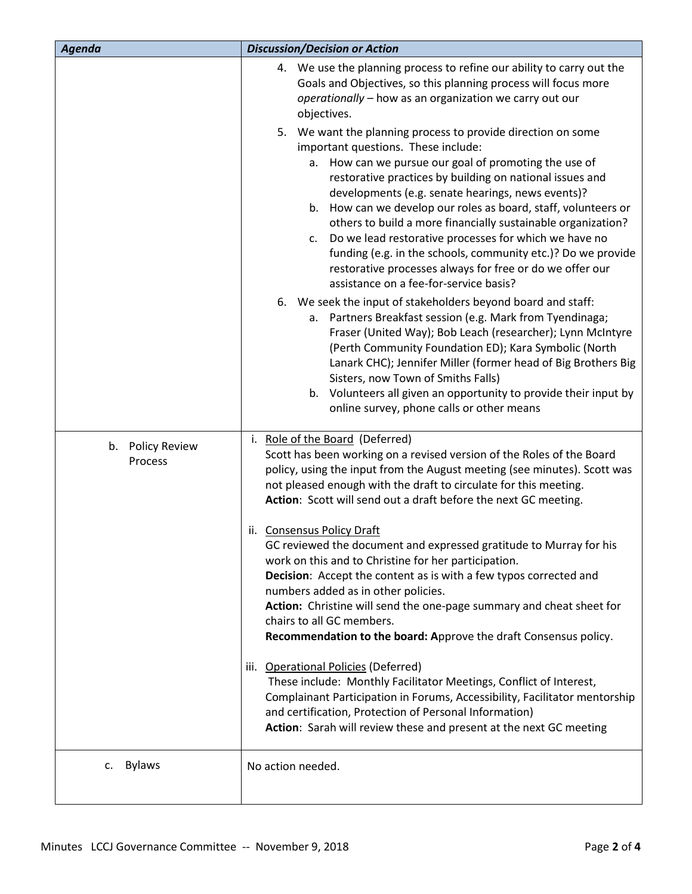| Agenda                      | <b>Discussion/Decision or Action</b>                                                                                                                                                                                                                                                                                                                                                                                                                                                                                                                                                                                                                                                                                                                                                                                                                                                                                                                                                                                                                                                                                             |
|-----------------------------|----------------------------------------------------------------------------------------------------------------------------------------------------------------------------------------------------------------------------------------------------------------------------------------------------------------------------------------------------------------------------------------------------------------------------------------------------------------------------------------------------------------------------------------------------------------------------------------------------------------------------------------------------------------------------------------------------------------------------------------------------------------------------------------------------------------------------------------------------------------------------------------------------------------------------------------------------------------------------------------------------------------------------------------------------------------------------------------------------------------------------------|
|                             | 4. We use the planning process to refine our ability to carry out the<br>Goals and Objectives, so this planning process will focus more<br>operationally - how as an organization we carry out our<br>objectives.                                                                                                                                                                                                                                                                                                                                                                                                                                                                                                                                                                                                                                                                                                                                                                                                                                                                                                                |
|                             | 5. We want the planning process to provide direction on some<br>important questions. These include:<br>a. How can we pursue our goal of promoting the use of<br>restorative practices by building on national issues and<br>developments (e.g. senate hearings, news events)?<br>b. How can we develop our roles as board, staff, volunteers or<br>others to build a more financially sustainable organization?<br>Do we lead restorative processes for which we have no<br>c.<br>funding (e.g. in the schools, community etc.)? Do we provide<br>restorative processes always for free or do we offer our<br>assistance on a fee-for-service basis?<br>6. We seek the input of stakeholders beyond board and staff:<br>a. Partners Breakfast session (e.g. Mark from Tyendinaga;<br>Fraser (United Way); Bob Leach (researcher); Lynn McIntyre<br>(Perth Community Foundation ED); Kara Symbolic (North<br>Lanark CHC); Jennifer Miller (former head of Big Brothers Big<br>Sisters, now Town of Smiths Falls)<br>b. Volunteers all given an opportunity to provide their input by<br>online survey, phone calls or other means |
| b. Policy Review<br>Process | Role of the Board (Deferred)<br>i.<br>Scott has been working on a revised version of the Roles of the Board<br>policy, using the input from the August meeting (see minutes). Scott was<br>not pleased enough with the draft to circulate for this meeting.<br>Action: Scott will send out a draft before the next GC meeting.                                                                                                                                                                                                                                                                                                                                                                                                                                                                                                                                                                                                                                                                                                                                                                                                   |
|                             | ii. Consensus Policy Draft<br>GC reviewed the document and expressed gratitude to Murray for his<br>work on this and to Christine for her participation.<br><b>Decision:</b> Accept the content as is with a few typos corrected and<br>numbers added as in other policies.<br>Action: Christine will send the one-page summary and cheat sheet for<br>chairs to all GC members.<br>Recommendation to the board: Approve the draft Consensus policy.                                                                                                                                                                                                                                                                                                                                                                                                                                                                                                                                                                                                                                                                             |
|                             | iii. Operational Policies (Deferred)<br>These include: Monthly Facilitator Meetings, Conflict of Interest,<br>Complainant Participation in Forums, Accessibility, Facilitator mentorship<br>and certification, Protection of Personal Information)<br>Action: Sarah will review these and present at the next GC meeting                                                                                                                                                                                                                                                                                                                                                                                                                                                                                                                                                                                                                                                                                                                                                                                                         |
| <b>Bylaws</b><br>C.         | No action needed.                                                                                                                                                                                                                                                                                                                                                                                                                                                                                                                                                                                                                                                                                                                                                                                                                                                                                                                                                                                                                                                                                                                |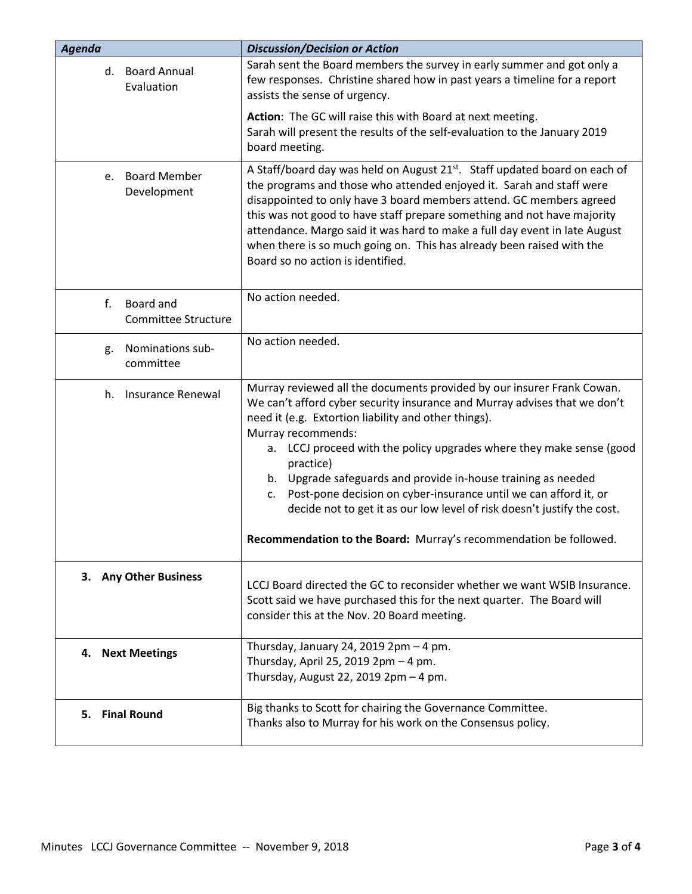| Agenda                                   | <b>Discussion/Decision or Action</b>                                                                                                                                                                                                                                                                                                                                                                                                                                                                                                                                                                              |
|------------------------------------------|-------------------------------------------------------------------------------------------------------------------------------------------------------------------------------------------------------------------------------------------------------------------------------------------------------------------------------------------------------------------------------------------------------------------------------------------------------------------------------------------------------------------------------------------------------------------------------------------------------------------|
| d. Board Annual<br>Evaluation            | Sarah sent the Board members the survey in early summer and got only a<br>few responses. Christine shared how in past years a timeline for a report<br>assists the sense of urgency.                                                                                                                                                                                                                                                                                                                                                                                                                              |
|                                          | Action: The GC will raise this with Board at next meeting.<br>Sarah will present the results of the self-evaluation to the January 2019<br>board meeting.                                                                                                                                                                                                                                                                                                                                                                                                                                                         |
| <b>Board Member</b><br>e.<br>Development | A Staff/board day was held on August 21 <sup>st</sup> . Staff updated board on each of<br>the programs and those who attended enjoyed it. Sarah and staff were<br>disappointed to only have 3 board members attend. GC members agreed<br>this was not good to have staff prepare something and not have majority<br>attendance. Margo said it was hard to make a full day event in late August<br>when there is so much going on. This has already been raised with the<br>Board so no action is identified.                                                                                                      |
| Board and<br>f.<br>Committee Structure   | No action needed.                                                                                                                                                                                                                                                                                                                                                                                                                                                                                                                                                                                                 |
| Nominations sub-<br>g.<br>committee      | No action needed.                                                                                                                                                                                                                                                                                                                                                                                                                                                                                                                                                                                                 |
| Insurance Renewal<br>h.                  | Murray reviewed all the documents provided by our insurer Frank Cowan.<br>We can't afford cyber security insurance and Murray advises that we don't<br>need it (e.g. Extortion liability and other things).<br>Murray recommends:<br>a. LCCJ proceed with the policy upgrades where they make sense (good<br>practice)<br>b. Upgrade safeguards and provide in-house training as needed<br>Post-pone decision on cyber-insurance until we can afford it, or<br>c.<br>decide not to get it as our low level of risk doesn't justify the cost.<br>Recommendation to the Board: Murray's recommendation be followed. |
| 3. Any Other Business                    | LCCJ Board directed the GC to reconsider whether we want WSIB Insurance.<br>Scott said we have purchased this for the next quarter. The Board will<br>consider this at the Nov. 20 Board meeting.                                                                                                                                                                                                                                                                                                                                                                                                                 |
| 4. Next Meetings                         | Thursday, January 24, 2019 $2pm - 4$ pm.<br>Thursday, April 25, 2019 2pm - 4 pm.<br>Thursday, August 22, 2019 2pm - 4 pm.                                                                                                                                                                                                                                                                                                                                                                                                                                                                                         |
| 5. Final Round                           | Big thanks to Scott for chairing the Governance Committee.<br>Thanks also to Murray for his work on the Consensus policy.                                                                                                                                                                                                                                                                                                                                                                                                                                                                                         |